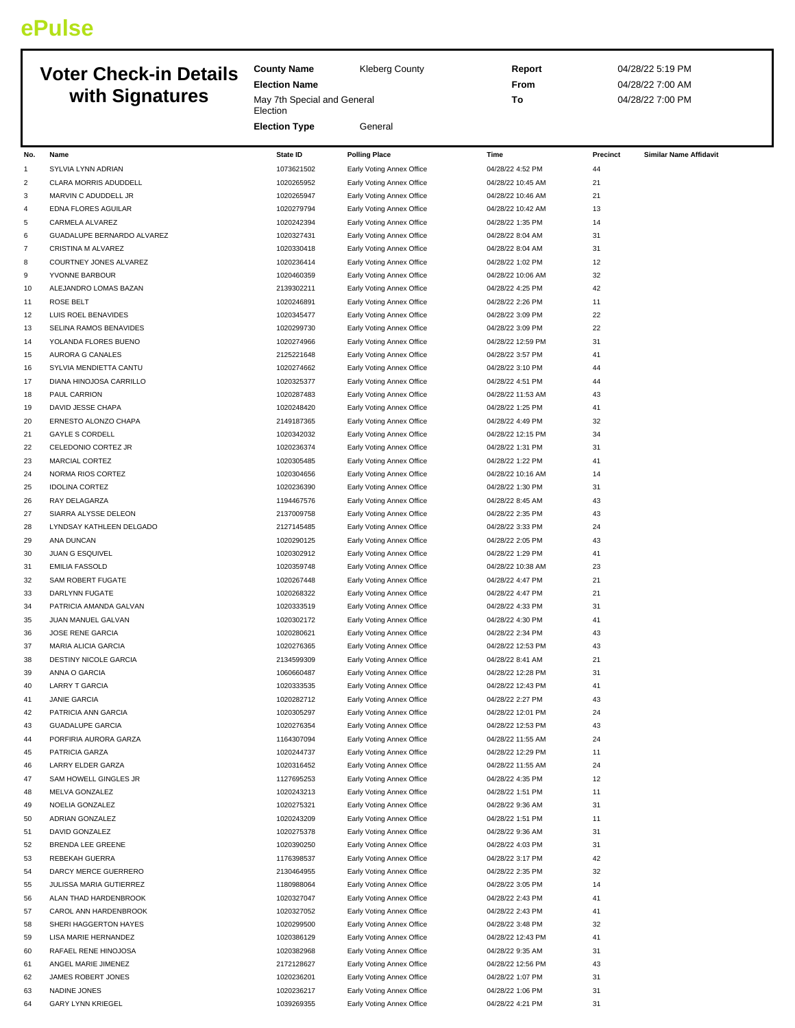## **ePulse**

## **Voter** Ch **with Signatures**

|                | <b>Voter Check-in Details</b>       | <b>County Name</b>          | <b>Kleberg County</b>                                  | Report                               |          | 04/28/22 5:19 PM              |
|----------------|-------------------------------------|-----------------------------|--------------------------------------------------------|--------------------------------------|----------|-------------------------------|
|                |                                     | <b>Election Name</b>        |                                                        | From                                 |          | 04/28/22 7:00 AM              |
|                | with Signatures                     | May 7th Special and General |                                                        | To                                   |          | 04/28/22 7:00 PM              |
|                |                                     | Election                    |                                                        |                                      |          |                               |
|                |                                     | <b>Election Type</b>        | General                                                |                                      |          |                               |
|                |                                     |                             |                                                        |                                      |          |                               |
| No.            | Name                                | <b>State ID</b>             | <b>Polling Place</b>                                   | Time                                 | Precinct | <b>Similar Name Affidavit</b> |
| 1              | SYLVIA LYNN ADRIAN                  | 1073621502                  | Early Voting Annex Office                              | 04/28/22 4:52 PM                     | 44       |                               |
| $\overline{c}$ | CLARA MORRIS ADUDDELL               | 1020265952                  | Early Voting Annex Office                              | 04/28/22 10:45 AM                    | 21       |                               |
| 3              | MARVIN C ADUDDELL JR                | 1020265947                  | Early Voting Annex Office                              | 04/28/22 10:46 AM                    | 21       |                               |
| 4              | EDNA FLORES AGUILAR                 | 1020279794                  | Early Voting Annex Office                              | 04/28/22 10:42 AM                    | 13       |                               |
| 5              | CARMELA ALVAREZ                     | 1020242394                  | Early Voting Annex Office                              | 04/28/22 1:35 PM                     | 14       |                               |
| 6              | GUADALUPE BERNARDO ALVAREZ          | 1020327431                  | Early Voting Annex Office                              | 04/28/22 8:04 AM                     | 31       |                               |
| $\overline{7}$ | CRISTINA M ALVAREZ                  | 1020330418                  | Early Voting Annex Office                              | 04/28/22 8:04 AM                     | 31       |                               |
| 8              | COURTNEY JONES ALVAREZ              | 1020236414                  | Early Voting Annex Office                              | 04/28/22 1:02 PM                     | 12       |                               |
| 9              | YVONNE BARBOUR                      | 1020460359                  | Early Voting Annex Office                              | 04/28/22 10:06 AM                    | 32       |                               |
| 10             | ALEJANDRO LOMAS BAZAN               | 2139302211                  | Early Voting Annex Office                              | 04/28/22 4:25 PM                     | 42       |                               |
| 11             | <b>ROSE BELT</b>                    | 1020246891                  | Early Voting Annex Office                              | 04/28/22 2:26 PM                     | 11       |                               |
| 12             | LUIS ROEL BENAVIDES                 | 1020345477                  | Early Voting Annex Office                              | 04/28/22 3:09 PM                     | 22       |                               |
| 13             | SELINA RAMOS BENAVIDES              | 1020299730                  | Early Voting Annex Office                              | 04/28/22 3:09 PM                     | 22       |                               |
| 14             | YOLANDA FLORES BUENO                | 1020274966                  | Early Voting Annex Office                              | 04/28/22 12:59 PM                    | 31       |                               |
| 15             | AURORA G CANALES                    | 2125221648                  | Early Voting Annex Office                              | 04/28/22 3:57 PM                     | 41       |                               |
| 16             | SYLVIA MENDIETTA CANTU              | 1020274662                  | Early Voting Annex Office                              | 04/28/22 3:10 PM                     | 44       |                               |
| 17             | DIANA HINOJOSA CARRILLO             | 1020325377                  | Early Voting Annex Office                              | 04/28/22 4:51 PM                     | 44       |                               |
| 18             | PAUL CARRION                        | 1020287483                  | Early Voting Annex Office                              | 04/28/22 11:53 AM                    | 43       |                               |
| 19             | DAVID JESSE CHAPA                   | 1020248420                  | Early Voting Annex Office                              | 04/28/22 1:25 PM                     | 41       |                               |
| 20             | ERNESTO ALONZO CHAPA                | 2149187365                  | Early Voting Annex Office                              | 04/28/22 4:49 PM                     | 32       |                               |
| 21             | <b>GAYLE S CORDELL</b>              | 1020342032                  | Early Voting Annex Office                              | 04/28/22 12:15 PM                    | 34       |                               |
| 22             | CELEDONIO CORTEZ JR                 | 1020236374                  | Early Voting Annex Office                              | 04/28/22 1:31 PM                     | 31       |                               |
| 23             | <b>MARCIAL CORTEZ</b>               | 1020305485                  | Early Voting Annex Office                              | 04/28/22 1:22 PM                     | 41       |                               |
| 24             | NORMA RIOS CORTEZ                   | 1020304656                  | Early Voting Annex Office                              | 04/28/22 10:16 AM                    | 14       |                               |
| 25             | <b>IDOLINA CORTEZ</b>               | 1020236390                  | Early Voting Annex Office                              | 04/28/22 1:30 PM                     | 31       |                               |
| 26             | RAY DELAGARZA                       | 1194467576                  | Early Voting Annex Office                              | 04/28/22 8:45 AM                     | 43       |                               |
| 27             | SIARRA ALYSSE DELEON                | 2137009758                  | Early Voting Annex Office                              | 04/28/22 2:35 PM                     | 43       |                               |
| 28             | LYNDSAY KATHLEEN DELGADO            | 2127145485                  | Early Voting Annex Office                              | 04/28/22 3:33 PM                     | 24       |                               |
| 29             | ANA DUNCAN                          | 1020290125                  | Early Voting Annex Office                              | 04/28/22 2:05 PM                     | 43       |                               |
| 30             | JUAN G ESQUIVEL                     | 1020302912                  | Early Voting Annex Office                              | 04/28/22 1:29 PM                     | 41       |                               |
| 31             | <b>EMILIA FASSOLD</b>               | 1020359748                  | Early Voting Annex Office                              | 04/28/22 10:38 AM                    | 23       |                               |
| 32             | SAM ROBERT FUGATE                   | 1020267448                  | Early Voting Annex Office                              | 04/28/22 4:47 PM                     | 21       |                               |
| 33             | DARLYNN FUGATE                      | 1020268322                  | Early Voting Annex Office                              | 04/28/22 4:47 PM                     | 21       |                               |
| 34             | PATRICIA AMANDA GALVAN              | 1020333519                  | Early Voting Annex Office                              | 04/28/22 4:33 PM                     | 31       |                               |
| 35             | JUAN MANUEL GALVAN                  | 1020302172                  | Early Voting Annex Office                              | 04/28/22 4:30 PM                     | 41       |                               |
| 36             | JOSE RENE GARCIA                    | 1020280621                  | Early Voting Annex Office                              | 04/28/22 2:34 PM                     | 43       |                               |
| 37             | MARIA ALICIA GARCIA                 | 1020276365                  | Early Voting Annex Office                              | 04/28/22 12:53 PM                    |          |                               |
| 38             | DESTINY NICOLE GARCIA               | 2134599309                  | Early Voting Annex Office                              | 04/28/22 8:41 AM                     | 21       |                               |
| 39             | ANNA O GARCIA                       | 1060660487                  | Early Voting Annex Office                              | 04/28/22 12:28 PM                    | 31       |                               |
| 40             | <b>LARRY T GARCIA</b>               | 1020333535                  | Early Voting Annex Office                              | 04/28/22 12:43 PM                    | 41       |                               |
| 41             | <b>JANIE GARCIA</b>                 | 1020282712                  | Early Voting Annex Office                              | 04/28/22 2:27 PM                     | 43       |                               |
| 42             | PATRICIA ANN GARCIA                 | 1020305297                  | Early Voting Annex Office                              | 04/28/22 12:01 PM                    | 24       |                               |
| 43             | <b>GUADALUPE GARCIA</b>             | 1020276354                  | Early Voting Annex Office                              | 04/28/22 12:53 PM                    | 43       |                               |
| 44             | PORFIRIA AURORA GARZA               | 1164307094                  | Early Voting Annex Office                              | 04/28/22 11:55 AM                    | 24       |                               |
| 45             | PATRICIA GARZA                      | 1020244737                  | Early Voting Annex Office                              | 04/28/22 12:29 PM                    | 11       |                               |
| 46             | LARRY ELDER GARZA                   | 1020316452                  | Early Voting Annex Office                              | 04/28/22 11:55 AM                    | 24       |                               |
| 47             | SAM HOWELL GINGLES JR               | 1127695253<br>1020243213    | Early Voting Annex Office                              | 04/28/22 4:35 PM                     | 12       |                               |
| 48             | MELVA GONZALEZ                      |                             | Early Voting Annex Office                              | 04/28/22 1:51 PM                     | 11       |                               |
| 49             | NOELIA GONZALEZ                     | 1020275321                  | Early Voting Annex Office                              | 04/28/22 9:36 AM                     | 31       |                               |
| 50             | ADRIAN GONZALEZ                     | 1020243209                  | Early Voting Annex Office                              | 04/28/22 1:51 PM                     | 11       |                               |
| 51             | DAVID GONZALEZ<br>BRENDA LEE GREENE | 1020275378<br>1020390250    | Early Voting Annex Office                              | 04/28/22 9:36 AM                     | 31<br>31 |                               |
| 52<br>53       | REBEKAH GUERRA                      | 1176398537                  | Early Voting Annex Office<br>Early Voting Annex Office | 04/28/22 4:03 PM<br>04/28/22 3:17 PM | 42       |                               |
| 54             | DARCY MERCE GUERRERO                | 2130464955                  | Early Voting Annex Office                              | 04/28/22 2:35 PM                     | 32       |                               |
| 55             | JULISSA MARIA GUTIERREZ             | 1180988064                  | Early Voting Annex Office                              | 04/28/22 3:05 PM                     | 14       |                               |
| 56             | ALAN THAD HARDENBROOK               | 1020327047                  | Early Voting Annex Office                              | 04/28/22 2:43 PM                     | 41       |                               |
| 57             | CAROL ANN HARDENBROOK               | 1020327052                  | Early Voting Annex Office                              | 04/28/22 2:43 PM                     | 41       |                               |
| 58             | SHERI HAGGERTON HAYES               | 1020299500                  | Early Voting Annex Office                              | 04/28/22 3:48 PM                     | 32       |                               |
| 59             | LISA MARIE HERNANDEZ                | 1020386129                  | Early Voting Annex Office                              | 04/28/22 12:43 PM                    | 41       |                               |
| 60             | RAFAEL RENE HINOJOSA                | 1020382968                  | Early Voting Annex Office                              | 04/28/22 9:35 AM                     | 31       |                               |
| 61             | ANGEL MARIE JIMENEZ                 | 2172128627                  | Early Voting Annex Office                              | 04/28/22 12:56 PM                    | 43       |                               |
| 62             | JAMES ROBERT JONES                  | 1020236201                  | Early Voting Annex Office                              | 04/28/22 1:07 PM                     | 31       |                               |
| 63             | NADINE JONES                        | 1020236217                  | Early Voting Annex Office                              | 04/28/22 1:06 PM                     | 31       |                               |
| 64             | <b>GARY LYNN KRIEGEL</b>            | 1039269355                  | Early Voting Annex Office                              | 04/28/22 4:21 PM                     | $31\,$   |                               |
|                |                                     |                             |                                                        |                                      |          |                               |